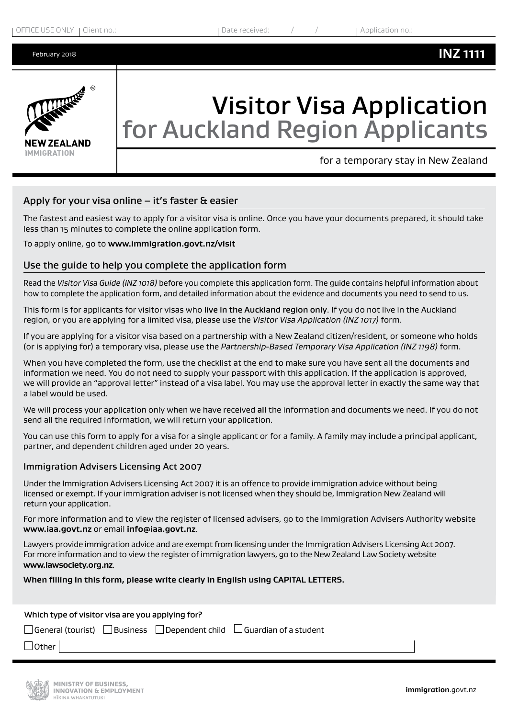

# Visitor Visa Application for Auckland Region Applicants

for a temporary stay in New Zealand

### Apply for your visa online  $-$  it's faster & easier

The fastest and easiest way to apply for a visitor visa is online. Once you have your documents prepared, it should take less than 15 minutes to complete the online application form.

To apply online, go to **www.immigration.govt.nz/visit**

### Use the guide to help you complete the application form

Read the *Visitor Visa Guide (INZ 1018)* before you complete this application form. The guide contains helpful information about how to complete the application form, and detailed information about the evidence and documents you need to send to us.

This form is for applicants for visitor visas who live in the Auckland region only. If you do not live in the Auckland region, or you are applying for a limited visa, please use the *Visitor Visa Application (INZ 1017)* form*.* 

If you are applying for a visitor visa based on a partnership with a New Zealand citizen/resident, or someone who holds (or is applying for) a temporary visa, please use the *Partnership-Based Temporary Visa Application (INZ 1198)* form.

When you have completed the form, use the checklist at the end to make sure you have sent all the documents and information we need. You do not need to supply your passport with this application. If the application is approved, we will provide an "approval letter" instead of a visa label. You may use the approval letter in exactly the same way that a label would be used.

We will process your application only when we have received all the information and documents we need. If you do not send all the required information, we will return your application.

You can use this form to apply for a visa for a single applicant or for a family. A family may include a principal applicant, partner, and dependent children aged under 20 years.

### Immigration Advisers Licensing Act 2007

Under the Immigration Advisers Licensing Act 2007 it is an offence to provide immigration advice without being licensed or exempt. If your immigration adviser is not licensed when they should be, Immigration New Zealand will return your application.

For more information and to view the register of licensed advisers, go to the Immigration Advisers Authority website **www.iaa.govt.nz** or email **info@iaa.govt.nz**.

Lawyers provide immigration advice and are exempt from licensing under the Immigration Advisers Licensing Act 2007. For more information and to view the register of immigration lawyers, go to the New Zealand Law Society website **www.lawsociety.org.nz**.

### **When filling in this form, please write clearly in English using CAPITAL LETTERS.**

Which type of visitor visa are you applying for?

 $\Box$  General (tourist)  $\Box$  Business  $\Box$  Dependent child  $\Box$  Guardian of a student

 $\Box$  Other

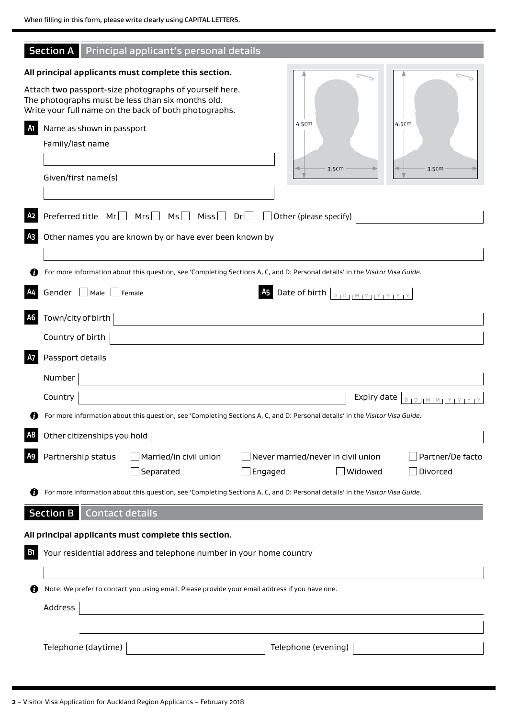|                | <b>Section A</b> Principal applicant's personal details                                                                                                              |  |  |  |  |
|----------------|----------------------------------------------------------------------------------------------------------------------------------------------------------------------|--|--|--|--|
|                | All principal applicants must complete this section.                                                                                                                 |  |  |  |  |
|                | Attach two passport-size photographs of yourself here.<br>The photographs must be less than six months old.<br>Write your full name on the back of both photographs. |  |  |  |  |
| A1             | 4.5cm<br>4.5cm<br>Name as shown in passport                                                                                                                          |  |  |  |  |
|                | Family/last name                                                                                                                                                     |  |  |  |  |
|                | 3.5cm<br>3.5cm<br>Given/first name(s)                                                                                                                                |  |  |  |  |
|                | Preferred title $Mr \Box Mrs \Box Mis \Box Nis \Box Dr \Box Other (please specify)$                                                                                  |  |  |  |  |
| A <sub>3</sub> | Other names you are known by or have ever been known by                                                                                                              |  |  |  |  |
|                | For more information about this question, see 'Completing Sections A, C, and D: Personal details' in the Visitor Visa Guide.                                         |  |  |  |  |
|                | Gender Male Female<br><b>A5</b> Date of birth $\left[\begin{array}{c} 0 & 0 \\ 0 & 1 \end{array}\right]$                                                             |  |  |  |  |
| A6             | Town/city of birth                                                                                                                                                   |  |  |  |  |
|                | Country of birth                                                                                                                                                     |  |  |  |  |
| A7             | Passport details                                                                                                                                                     |  |  |  |  |
|                | Number                                                                                                                                                               |  |  |  |  |
|                | Country<br>Expiry date<br>$101011M1M11Y1Y1Y1Y$                                                                                                                       |  |  |  |  |
|                | For more information about this question, see 'Completing Sections A, C, and D: Personal details' in the Visitor Visa Guide.                                         |  |  |  |  |
|                | Other citizenships you hold                                                                                                                                          |  |  |  |  |
|                | Partnership status<br>Married/in civil union<br>$\,$ Never married/never in civil union<br>Partner/De facto<br>Separated<br>Widowed<br>Divorced<br>J Engaged         |  |  |  |  |
|                | For more information about this question, see 'Completing Sections A, C, and D: Personal details' in the Visitor Visa Guide.                                         |  |  |  |  |
|                | Section B<br><b>Contact details</b>                                                                                                                                  |  |  |  |  |
|                | All principal applicants must complete this section.                                                                                                                 |  |  |  |  |
| В1             | Your residential address and telephone number in your home country                                                                                                   |  |  |  |  |
|                |                                                                                                                                                                      |  |  |  |  |
| O              | Note: We prefer to contact you using email. Please provide your email address if you have one.                                                                       |  |  |  |  |
| Address        |                                                                                                                                                                      |  |  |  |  |
|                |                                                                                                                                                                      |  |  |  |  |
|                | Telephone (daytime)<br>Telephone (evening)                                                                                                                           |  |  |  |  |
|                |                                                                                                                                                                      |  |  |  |  |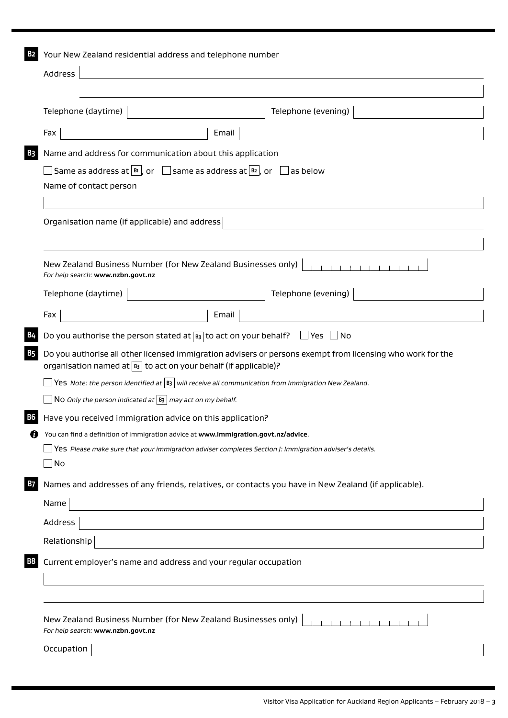| Address<br>Telephone (evening)<br>Telephone (daytime)<br>Email<br>Fax<br>Name and address for communication about this application<br>$\Box$ Same as address at $\boxed{\mathbb{B}^1}$ , or $\boxed{\phantom{a}}$ same as address at $\boxed{\mathbb{B}^2}$ , or $\boxed{\phantom{a}}$ as below<br>Name of contact person<br>Organisation name (if applicable) and address<br>.<br>New Zealand Business Number (for New Zealand Businesses only)<br>For help search: www.nzbn.govt.nz<br>Telephone (evening)  <br>Telephone (daytime)  <br>Fax<br>Email<br>Do you authorise the person stated at $\boxed{B_3}$ to act on your behalf? $\Box$ Yes $\Box$ No<br>Do you authorise all other licensed immigration advisers or persons exempt from licensing who work for the<br>organisation named at $\boxed{B}$ to act on your behalf (if applicable)?<br>$\Box$ Yes Note: the person identified at $ $ B3 $ $ will receive all communication from Immigration New Zealand.<br>NO Only the person indicated at $ B_3 $ may act on my behalf.<br>Have you received immigration advice on this application?<br>You can find a definition of immigration advice at www.immigration.govt.nz/advice.<br>Yes Please make sure that your immigration adviser completes Section J: Immigration adviser's details.<br>$\Box$ No<br>Names and addresses of any friends, relatives, or contacts you have in New Zealand (if applicable).<br>Name<br>Address |
|------------------------------------------------------------------------------------------------------------------------------------------------------------------------------------------------------------------------------------------------------------------------------------------------------------------------------------------------------------------------------------------------------------------------------------------------------------------------------------------------------------------------------------------------------------------------------------------------------------------------------------------------------------------------------------------------------------------------------------------------------------------------------------------------------------------------------------------------------------------------------------------------------------------------------------------------------------------------------------------------------------------------------------------------------------------------------------------------------------------------------------------------------------------------------------------------------------------------------------------------------------------------------------------------------------------------------------------------------------------------------------------------------------------------------------------------|
|                                                                                                                                                                                                                                                                                                                                                                                                                                                                                                                                                                                                                                                                                                                                                                                                                                                                                                                                                                                                                                                                                                                                                                                                                                                                                                                                                                                                                                                |
|                                                                                                                                                                                                                                                                                                                                                                                                                                                                                                                                                                                                                                                                                                                                                                                                                                                                                                                                                                                                                                                                                                                                                                                                                                                                                                                                                                                                                                                |
|                                                                                                                                                                                                                                                                                                                                                                                                                                                                                                                                                                                                                                                                                                                                                                                                                                                                                                                                                                                                                                                                                                                                                                                                                                                                                                                                                                                                                                                |
|                                                                                                                                                                                                                                                                                                                                                                                                                                                                                                                                                                                                                                                                                                                                                                                                                                                                                                                                                                                                                                                                                                                                                                                                                                                                                                                                                                                                                                                |
|                                                                                                                                                                                                                                                                                                                                                                                                                                                                                                                                                                                                                                                                                                                                                                                                                                                                                                                                                                                                                                                                                                                                                                                                                                                                                                                                                                                                                                                |
|                                                                                                                                                                                                                                                                                                                                                                                                                                                                                                                                                                                                                                                                                                                                                                                                                                                                                                                                                                                                                                                                                                                                                                                                                                                                                                                                                                                                                                                |
|                                                                                                                                                                                                                                                                                                                                                                                                                                                                                                                                                                                                                                                                                                                                                                                                                                                                                                                                                                                                                                                                                                                                                                                                                                                                                                                                                                                                                                                |
|                                                                                                                                                                                                                                                                                                                                                                                                                                                                                                                                                                                                                                                                                                                                                                                                                                                                                                                                                                                                                                                                                                                                                                                                                                                                                                                                                                                                                                                |
|                                                                                                                                                                                                                                                                                                                                                                                                                                                                                                                                                                                                                                                                                                                                                                                                                                                                                                                                                                                                                                                                                                                                                                                                                                                                                                                                                                                                                                                |
|                                                                                                                                                                                                                                                                                                                                                                                                                                                                                                                                                                                                                                                                                                                                                                                                                                                                                                                                                                                                                                                                                                                                                                                                                                                                                                                                                                                                                                                |
|                                                                                                                                                                                                                                                                                                                                                                                                                                                                                                                                                                                                                                                                                                                                                                                                                                                                                                                                                                                                                                                                                                                                                                                                                                                                                                                                                                                                                                                |
|                                                                                                                                                                                                                                                                                                                                                                                                                                                                                                                                                                                                                                                                                                                                                                                                                                                                                                                                                                                                                                                                                                                                                                                                                                                                                                                                                                                                                                                |
|                                                                                                                                                                                                                                                                                                                                                                                                                                                                                                                                                                                                                                                                                                                                                                                                                                                                                                                                                                                                                                                                                                                                                                                                                                                                                                                                                                                                                                                |
|                                                                                                                                                                                                                                                                                                                                                                                                                                                                                                                                                                                                                                                                                                                                                                                                                                                                                                                                                                                                                                                                                                                                                                                                                                                                                                                                                                                                                                                |
|                                                                                                                                                                                                                                                                                                                                                                                                                                                                                                                                                                                                                                                                                                                                                                                                                                                                                                                                                                                                                                                                                                                                                                                                                                                                                                                                                                                                                                                |
|                                                                                                                                                                                                                                                                                                                                                                                                                                                                                                                                                                                                                                                                                                                                                                                                                                                                                                                                                                                                                                                                                                                                                                                                                                                                                                                                                                                                                                                |
|                                                                                                                                                                                                                                                                                                                                                                                                                                                                                                                                                                                                                                                                                                                                                                                                                                                                                                                                                                                                                                                                                                                                                                                                                                                                                                                                                                                                                                                |
|                                                                                                                                                                                                                                                                                                                                                                                                                                                                                                                                                                                                                                                                                                                                                                                                                                                                                                                                                                                                                                                                                                                                                                                                                                                                                                                                                                                                                                                |
|                                                                                                                                                                                                                                                                                                                                                                                                                                                                                                                                                                                                                                                                                                                                                                                                                                                                                                                                                                                                                                                                                                                                                                                                                                                                                                                                                                                                                                                |
|                                                                                                                                                                                                                                                                                                                                                                                                                                                                                                                                                                                                                                                                                                                                                                                                                                                                                                                                                                                                                                                                                                                                                                                                                                                                                                                                                                                                                                                |
|                                                                                                                                                                                                                                                                                                                                                                                                                                                                                                                                                                                                                                                                                                                                                                                                                                                                                                                                                                                                                                                                                                                                                                                                                                                                                                                                                                                                                                                |
|                                                                                                                                                                                                                                                                                                                                                                                                                                                                                                                                                                                                                                                                                                                                                                                                                                                                                                                                                                                                                                                                                                                                                                                                                                                                                                                                                                                                                                                |
|                                                                                                                                                                                                                                                                                                                                                                                                                                                                                                                                                                                                                                                                                                                                                                                                                                                                                                                                                                                                                                                                                                                                                                                                                                                                                                                                                                                                                                                |
| Relationship                                                                                                                                                                                                                                                                                                                                                                                                                                                                                                                                                                                                                                                                                                                                                                                                                                                                                                                                                                                                                                                                                                                                                                                                                                                                                                                                                                                                                                   |
| Current employer's name and address and your regular occupation                                                                                                                                                                                                                                                                                                                                                                                                                                                                                                                                                                                                                                                                                                                                                                                                                                                                                                                                                                                                                                                                                                                                                                                                                                                                                                                                                                                |
|                                                                                                                                                                                                                                                                                                                                                                                                                                                                                                                                                                                                                                                                                                                                                                                                                                                                                                                                                                                                                                                                                                                                                                                                                                                                                                                                                                                                                                                |
| New Zealand Business Number (for New Zealand Businesses only)<br>For help search: www.nzbn.govt.nz                                                                                                                                                                                                                                                                                                                                                                                                                                                                                                                                                                                                                                                                                                                                                                                                                                                                                                                                                                                                                                                                                                                                                                                                                                                                                                                                             |
| Occupation                                                                                                                                                                                                                                                                                                                                                                                                                                                                                                                                                                                                                                                                                                                                                                                                                                                                                                                                                                                                                                                                                                                                                                                                                                                                                                                                                                                                                                     |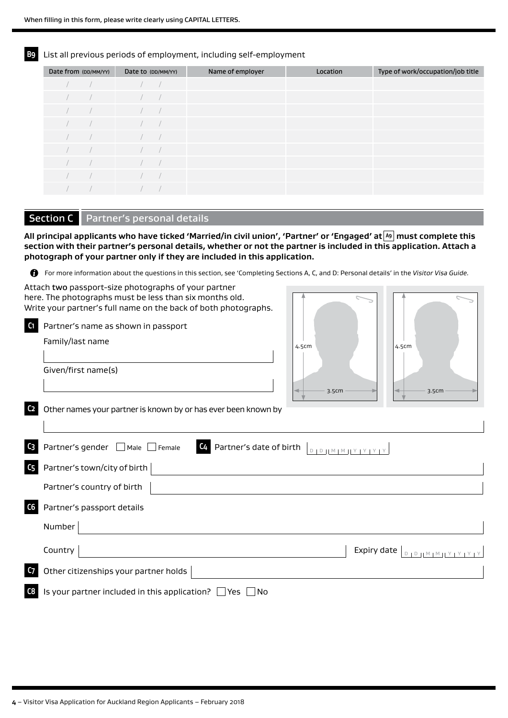**B9** List all previous periods of employment, including self-employment

| Date from (DD/MM/YY) |  | Date to (DD/MM/YY) | Name of employer | Location | Type of work/occupation/job title |
|----------------------|--|--------------------|------------------|----------|-----------------------------------|
|                      |  |                    |                  |          |                                   |
|                      |  |                    |                  |          |                                   |
|                      |  |                    |                  |          |                                   |
|                      |  |                    |                  |          |                                   |
|                      |  |                    |                  |          |                                   |
|                      |  |                    |                  |          |                                   |
|                      |  |                    |                  |          |                                   |
|                      |  |                    |                  |          |                                   |
|                      |  |                    |                  |          |                                   |

### Section C | Partner's personal details

**All principal applicants who have ticked 'Married/in civil union', 'Partner' or 'Engaged' at A9 must complete this section with their partner's personal details, whether or not the partner is included in this application. Attach a photograph of your partner only if they are included in this application.**

For more information about the questions in this section, see 'Completing Sections A, C, and D: Personal details' in the *Visitor Visa Guide.*

Attach two passport-size photographs of your partner here. The photographs must be less than six months old. Write your partner's full name on the back of both photographs.

| Partner's name as shown in passport |
|-------------------------------------|
| Family/last name                    |
|                                     |
| Given/first name(s)                 |
|                                     |
|                                     |



**C2** Other names your partner is known by or has ever been known by

|                | C3 Partner's gender ■ Male Female<br><b>C4</b> Partner's date of birth $\left[ \begin{array}{c} 0 & 0 \end{array} \right]$ |
|----------------|----------------------------------------------------------------------------------------------------------------------------|
|                | $\mathsf{C}_5$ Partner's town/city of birth                                                                                |
|                | Partner's country of birth                                                                                                 |
| C6             | Partner's passport details                                                                                                 |
|                | Number                                                                                                                     |
|                | Country<br>Expiry date $ $                                                                                                 |
| C <sub>7</sub> | Other citizenships your partner holds                                                                                      |
| C8             | Is your partner included in this application? $\Box$ Yes $\Box$ No                                                         |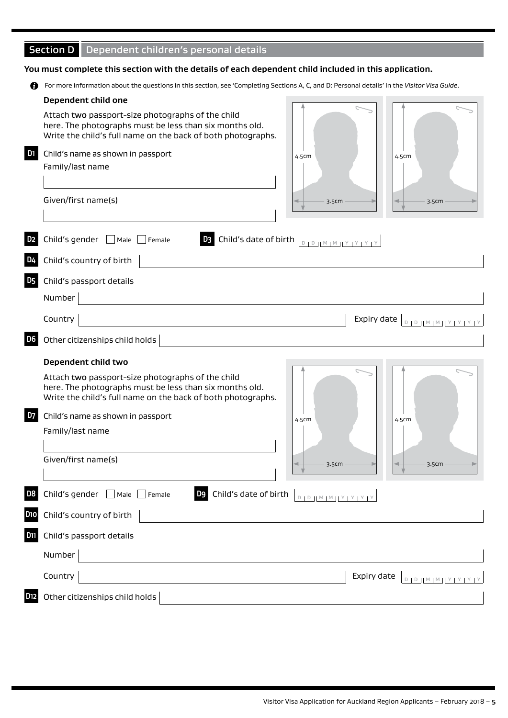### Section D Dependent children's personal details

#### **You must complete this section with the details of each dependent child included in this application.**

For more information about the questions in this section, see 'Completing Sections A, C, and D: Personal details' in the *Visitor Visa Guide*.

|                   | Dependent child one                                                                                                                                                          |                       |             |                                 |
|-------------------|------------------------------------------------------------------------------------------------------------------------------------------------------------------------------|-----------------------|-------------|---------------------------------|
|                   | Attach two passport-size photographs of the child<br>here. The photographs must be less than six months old.<br>Write the child's full name on the back of both photographs. |                       |             |                                 |
| D <sub>1</sub>    | Child's name as shown in passport<br>Family/last name                                                                                                                        | 4.5cm                 |             | 4.5cm                           |
|                   | Given/first name(s)                                                                                                                                                          | 3.5cm                 |             | 3.5cm                           |
| D <sub>2</sub>    | <b>D3</b> Child's date of birth <b>DED JMMMIY PRIM</b><br>Child's gender $\Box$ Male $\Box$ Female                                                                           |                       |             |                                 |
| D4                | Child's country of birth                                                                                                                                                     |                       |             |                                 |
| D5                | Child's passport details                                                                                                                                                     |                       |             |                                 |
|                   | Number                                                                                                                                                                       |                       |             |                                 |
|                   | Country                                                                                                                                                                      |                       | Expiry date | $D D D  M M  M   Y   Y   Y   Y$ |
| D <sub>6</sub>    | Other citizenships child holds                                                                                                                                               |                       |             |                                 |
|                   |                                                                                                                                                                              |                       |             |                                 |
|                   | Dependent child two                                                                                                                                                          |                       |             |                                 |
|                   | Attach two passport-size photographs of the child<br>here. The photographs must be less than six months old.<br>Write the child's full name on the back of both photographs. |                       |             |                                 |
| <b>D7</b>         | Child's name as shown in passport                                                                                                                                            | 4.5cm                 |             | 4.5cm                           |
|                   | Family/last name                                                                                                                                                             |                       |             |                                 |
|                   | Given/first name(s)                                                                                                                                                          | 3.5cm                 |             | 3.5cm                           |
| D8                | D9 Child's date of birth<br>Child's gender $\Box$ Male $[$<br>$\Box$ Female                                                                                                  | $D D M M M T Y Y Y Y$ |             |                                 |
|                   | Child's country of birth                                                                                                                                                     |                       |             |                                 |
|                   | Child's passport details                                                                                                                                                     |                       |             |                                 |
|                   | Number                                                                                                                                                                       |                       |             |                                 |
| D10<br><b>D11</b> | Country                                                                                                                                                                      |                       | Expiry date | 0   0     M   M   Y   Y   Y     |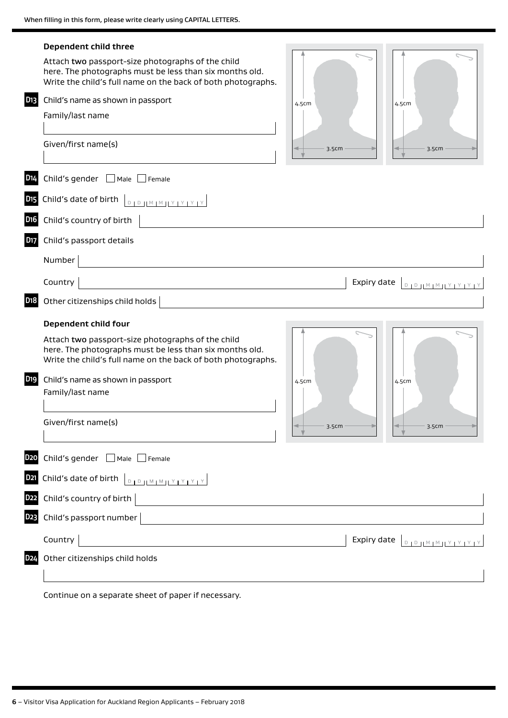| D <sub>13</sub>       | Dependent child three<br>Attach two passport-size photographs of the child<br>here. The photographs must be less than six months old.<br>Write the child's full name on the back of both photographs.<br>Child's name as shown in passport<br>Family/last name<br>Given/first name(s)                                                                                                                          | 4.5cm<br>3.5cm |             | 4.5cm<br>3.5cm                                           |
|-----------------------|----------------------------------------------------------------------------------------------------------------------------------------------------------------------------------------------------------------------------------------------------------------------------------------------------------------------------------------------------------------------------------------------------------------|----------------|-------------|----------------------------------------------------------|
| D <sub>14</sub>       | Child's gender $\Box$ Male $\Box$ Female                                                                                                                                                                                                                                                                                                                                                                       |                |             |                                                          |
| <b>D<sub>15</sub></b> | Child's date of birth $\left\lfloor \frac{D}{D} \right\rfloor \left\lfloor \frac{M}{M} \right\rfloor \left\lfloor \frac{N}{M} \right\rfloor \left\lfloor \frac{N}{M} \right\rfloor \left\lfloor \frac{N}{M} \right\rfloor \left\lfloor \frac{N}{M} \right\rfloor \left\lfloor \frac{N}{M} \right\rfloor \left\lfloor \frac{N}{M} \right\rfloor$                                                                |                |             |                                                          |
| D <sub>16</sub>       | Child's country of birth                                                                                                                                                                                                                                                                                                                                                                                       |                |             |                                                          |
| D17                   | Child's passport details                                                                                                                                                                                                                                                                                                                                                                                       |                |             |                                                          |
|                       | Number                                                                                                                                                                                                                                                                                                                                                                                                         |                |             |                                                          |
|                       | Country                                                                                                                                                                                                                                                                                                                                                                                                        |                | Expiry date | $D + D + H \times H \times H \times H \times H \times H$ |
| D <sub>1</sub> 8      | Other citizenships child holds                                                                                                                                                                                                                                                                                                                                                                                 |                |             |                                                          |
|                       | Dependent child four                                                                                                                                                                                                                                                                                                                                                                                           |                |             |                                                          |
|                       | Attach two passport-size photographs of the child<br>here. The photographs must be less than six months old.<br>Write the child's full name on the back of both photographs.                                                                                                                                                                                                                                   |                |             |                                                          |
| D <sub>19</sub>       | Child's name as shown in passport<br>Family/last name                                                                                                                                                                                                                                                                                                                                                          | 4.5cm          |             | 4.5cm                                                    |
|                       | Given/first name(s)                                                                                                                                                                                                                                                                                                                                                                                            | 3.5cm          |             | 3.5cm                                                    |
| D <sub>20</sub>       | Child's gender ■ Male ■ Female                                                                                                                                                                                                                                                                                                                                                                                 |                |             |                                                          |
| D <sub>21</sub>       | Child's date of birth $\left[\begin{array}{c c} 0 & 0 & \text{if } 0 & \text{if } 0 & \text{if } 0 & \text{if } 0 & \text{if } 0 & \text{if } 0 & \text{if } 0 & \text{if } 0 & \text{if } 0 & \text{if } 0 & \text{if } 0 & \text{if } 0 & \text{if } 0 & \text{if } 0 & \text{if } 0 & \text{if } 0 & \text{if } 0 & \text{if } 0 & \text{if } 0 & \text{if } 0 & \text{if } 0 & \text{if } 0 & \text{if } $ |                |             |                                                          |
| <b>D22</b>            | Child's country of birth                                                                                                                                                                                                                                                                                                                                                                                       |                |             |                                                          |
| D23                   | Child's passport number                                                                                                                                                                                                                                                                                                                                                                                        |                |             |                                                          |
|                       | Country                                                                                                                                                                                                                                                                                                                                                                                                        |                | Expiry date | $D + D + M + M + Y + Y + Y + Y$                          |
| D <sub>24</sub>       | Other citizenships child holds                                                                                                                                                                                                                                                                                                                                                                                 |                |             |                                                          |
|                       |                                                                                                                                                                                                                                                                                                                                                                                                                |                |             |                                                          |
|                       | Continue on a separate sheet of paper if necessary.                                                                                                                                                                                                                                                                                                                                                            |                |             |                                                          |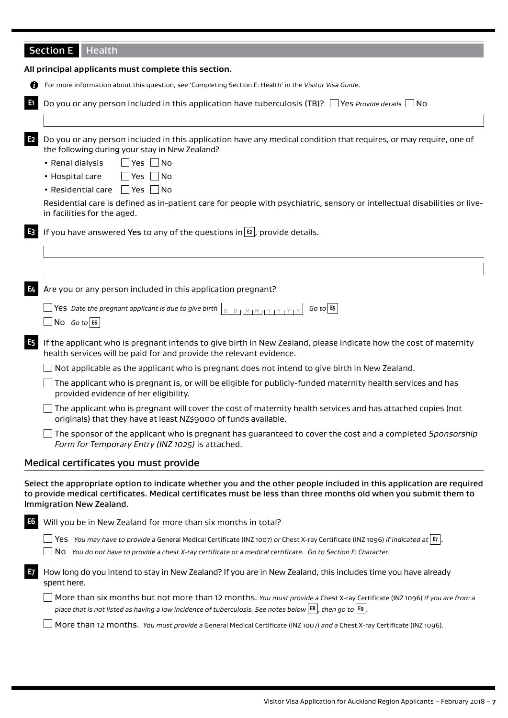## Section E | Health

|                | All principal applicants must complete this section.                                                                                                                                                                                                                                                                                                                                                                                                 |  |  |  |  |
|----------------|------------------------------------------------------------------------------------------------------------------------------------------------------------------------------------------------------------------------------------------------------------------------------------------------------------------------------------------------------------------------------------------------------------------------------------------------------|--|--|--|--|
| Ø              | For more information about this question, see 'Completing Section E: Health' in the Visitor Visa Guide.                                                                                                                                                                                                                                                                                                                                              |  |  |  |  |
| E1             | Do you or any person included in this application have tuberculosis (TB)? $\Box$ Yes <i>Provide details</i> $\Box$ No                                                                                                                                                                                                                                                                                                                                |  |  |  |  |
| E <sub>2</sub> | Do you or any person included in this application have any medical condition that requires, or may require, one of<br>the following during your stay in New Zealand?<br>• Renal dialysis<br>$\Box$ Yes $\Box$ No<br>• Hospital care<br>$\Box$ Yes $\Box$ No<br>• Residential care Yes No<br>Residential care is defined as in-patient care for people with psychiatric, sensory or intellectual disabilities or live-<br>in facilities for the aged. |  |  |  |  |
| E <sub>3</sub> | If you have answered Yes to any of the questions in $E_2$ , provide details.                                                                                                                                                                                                                                                                                                                                                                         |  |  |  |  |
|                |                                                                                                                                                                                                                                                                                                                                                                                                                                                      |  |  |  |  |
| E4             | Are you or any person included in this application pregnant?                                                                                                                                                                                                                                                                                                                                                                                         |  |  |  |  |
|                | $Go$ to $E_5$<br>$\Box$ No Go to E6                                                                                                                                                                                                                                                                                                                                                                                                                  |  |  |  |  |
| E <sub>5</sub> | If the applicant who is pregnant intends to give birth in New Zealand, please indicate how the cost of maternity<br>health services will be paid for and provide the relevant evidence.                                                                                                                                                                                                                                                              |  |  |  |  |
|                | Not applicable as the applicant who is pregnant does not intend to give birth in New Zealand.                                                                                                                                                                                                                                                                                                                                                        |  |  |  |  |
|                | The applicant who is pregnant is, or will be eligible for publicly-funded maternity health services and has<br>provided evidence of her eligibility.                                                                                                                                                                                                                                                                                                 |  |  |  |  |
|                | The applicant who is pregnant will cover the cost of maternity health services and has attached copies (not<br>originals) that they have at least NZ\$9000 of funds available.                                                                                                                                                                                                                                                                       |  |  |  |  |
|                | The sponsor of the applicant who is pregnant has quaranteed to cover the cost and a completed Sponsorship<br>Form for Temporary Entry (INZ 1025) is attached.                                                                                                                                                                                                                                                                                        |  |  |  |  |
|                | Medical certificates you must provide                                                                                                                                                                                                                                                                                                                                                                                                                |  |  |  |  |
|                | Select the appropriate option to indicate whether you and the other people included in this application are required<br>to provide medical certificates. Medical certificates must be less than three months old when you submit them to<br>Immigration New Zealand.                                                                                                                                                                                 |  |  |  |  |
| E6             | Will you be in New Zealand for more than six months in total?                                                                                                                                                                                                                                                                                                                                                                                        |  |  |  |  |
|                | $\Box$ Yes You may have to provide a General Medical Certificate (INZ 1007) or Chest X-ray Certificate (INZ 1096) if indicated at $\vert$ E $\vert$ .<br>No You do not have to provide a chest X-ray certificate or a medical certificate. Go to Section F: Character.                                                                                                                                                                               |  |  |  |  |
| E7             | How long do you intend to stay in New Zealand? If you are in New Zealand, this includes time you have already<br>spent here.                                                                                                                                                                                                                                                                                                                         |  |  |  |  |
|                | More than six months but not more than 12 months. You must provide a Chest X-ray Certificate (INZ 1096) if you are from a<br>place that is not listed as having a low incidence of tuberculosis. See notes below $\left  \frac{188}{160}\right $ , then go to $\left  59\right $ .                                                                                                                                                                   |  |  |  |  |
|                | More than 12 months. You must provide a General Medical Certificate (INZ 1007) and a Chest X-ray Certificate (INZ 1096).                                                                                                                                                                                                                                                                                                                             |  |  |  |  |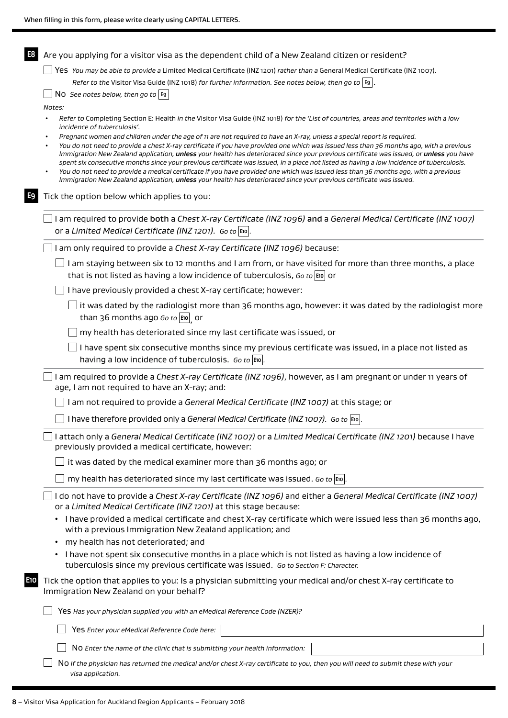| E8                                                                  | Are you applying for a visitor visa as the dependent child of a New Zealand citizen or resident?                                                                                                                                                                                                                                                                                                                                                                                                                                                                                                                                                                                                                                                                                                                                                                                                                                                                                                              |  |  |  |  |  |
|---------------------------------------------------------------------|---------------------------------------------------------------------------------------------------------------------------------------------------------------------------------------------------------------------------------------------------------------------------------------------------------------------------------------------------------------------------------------------------------------------------------------------------------------------------------------------------------------------------------------------------------------------------------------------------------------------------------------------------------------------------------------------------------------------------------------------------------------------------------------------------------------------------------------------------------------------------------------------------------------------------------------------------------------------------------------------------------------|--|--|--|--|--|
|                                                                     | Yes You may be able to provide a Limited Medical Certificate (INZ 1201) rather than a General Medical Certificate (INZ 1007).                                                                                                                                                                                                                                                                                                                                                                                                                                                                                                                                                                                                                                                                                                                                                                                                                                                                                 |  |  |  |  |  |
|                                                                     | Refer to the Visitor Visa Guide (INZ 1018) for further information. See notes below, then go to $ E9 $ .                                                                                                                                                                                                                                                                                                                                                                                                                                                                                                                                                                                                                                                                                                                                                                                                                                                                                                      |  |  |  |  |  |
| NO See notes below, then go to $\left  \mathbf{E} \right $          |                                                                                                                                                                                                                                                                                                                                                                                                                                                                                                                                                                                                                                                                                                                                                                                                                                                                                                                                                                                                               |  |  |  |  |  |
|                                                                     | Notes:<br>Refer to Completing Section E: Health in the Visitor Visa Guide (INZ 1018) for the 'List of countries, areas and territories with a low<br>incidence of tuberculosis'.<br>Pregnant women and children under the age of 11 are not required to have an X-ray, unless a special report is required.<br>You do not need to provide a chest X-ray certificate if you have provided one which was issued less than 36 months ago, with a previous<br>Immigration New Zealand application, unless your health has deteriorated since your previous certificate was issued, or unless you have<br>spent six consecutive months since your previous certificate was issued, in a place not listed as having a low incidence of tuberculosis.<br>You do not need to provide a medical certificate if you have provided one which was issued less than 36 months ago, with a previous<br>Immigration New Zealand application, unless your health has deteriorated since your previous certificate was issued. |  |  |  |  |  |
| E9                                                                  | Tick the option below which applies to you:                                                                                                                                                                                                                                                                                                                                                                                                                                                                                                                                                                                                                                                                                                                                                                                                                                                                                                                                                                   |  |  |  |  |  |
|                                                                     | I am required to provide both a Chest X-ray Certificate (INZ 1096) and a General Medical Certificate (INZ 1007)<br>or a Limited Medical Certificate (INZ 1201). Go to E10.                                                                                                                                                                                                                                                                                                                                                                                                                                                                                                                                                                                                                                                                                                                                                                                                                                    |  |  |  |  |  |
|                                                                     | I am only required to provide a Chest X-ray Certificate (INZ 1096) because:                                                                                                                                                                                                                                                                                                                                                                                                                                                                                                                                                                                                                                                                                                                                                                                                                                                                                                                                   |  |  |  |  |  |
|                                                                     | I am staying between six to 12 months and I am from, or have visited for more than three months, a place<br>that is not listed as having a low incidence of tuberculosis, Go to $\vert$ to $\vert$ or                                                                                                                                                                                                                                                                                                                                                                                                                                                                                                                                                                                                                                                                                                                                                                                                         |  |  |  |  |  |
|                                                                     | I have previously provided a chest X-ray certificate; however:                                                                                                                                                                                                                                                                                                                                                                                                                                                                                                                                                                                                                                                                                                                                                                                                                                                                                                                                                |  |  |  |  |  |
|                                                                     | it was dated by the radiologist more than 36 months ago, however: it was dated by the radiologist more<br>than 36 months ago Go to $\vert$ E10 $\vert$ or                                                                                                                                                                                                                                                                                                                                                                                                                                                                                                                                                                                                                                                                                                                                                                                                                                                     |  |  |  |  |  |
| my health has deteriorated since my last certificate was issued, or |                                                                                                                                                                                                                                                                                                                                                                                                                                                                                                                                                                                                                                                                                                                                                                                                                                                                                                                                                                                                               |  |  |  |  |  |
|                                                                     | I have spent six consecutive months since my previous certificate was issued, in a place not listed as<br>having a low incidence of tuberculosis. Go to $ \text{Evo} $ .                                                                                                                                                                                                                                                                                                                                                                                                                                                                                                                                                                                                                                                                                                                                                                                                                                      |  |  |  |  |  |
|                                                                     | I am required to provide a Chest X-ray Certificate (INZ 1096), however, as I am pregnant or under 11 years of<br>age, I am not required to have an X-ray; and:                                                                                                                                                                                                                                                                                                                                                                                                                                                                                                                                                                                                                                                                                                                                                                                                                                                |  |  |  |  |  |
|                                                                     | I am not required to provide a General Medical Certificate (INZ 1007) at this stage; or                                                                                                                                                                                                                                                                                                                                                                                                                                                                                                                                                                                                                                                                                                                                                                                                                                                                                                                       |  |  |  |  |  |
|                                                                     | I have therefore provided only a General Medical Certificate (INZ 1007). Go to $\left \tan\theta\right $ .                                                                                                                                                                                                                                                                                                                                                                                                                                                                                                                                                                                                                                                                                                                                                                                                                                                                                                    |  |  |  |  |  |
|                                                                     | I attach only a General Medical Certificate (INZ 1007) or a Limited Medical Certificate (INZ 1201) because I have<br>previously provided a medical certificate, however:                                                                                                                                                                                                                                                                                                                                                                                                                                                                                                                                                                                                                                                                                                                                                                                                                                      |  |  |  |  |  |
|                                                                     | it was dated by the medical examiner more than 36 months ago; or                                                                                                                                                                                                                                                                                                                                                                                                                                                                                                                                                                                                                                                                                                                                                                                                                                                                                                                                              |  |  |  |  |  |
|                                                                     | my health has deteriorated since my last certificate was issued. Go to $\vert$ E10                                                                                                                                                                                                                                                                                                                                                                                                                                                                                                                                                                                                                                                                                                                                                                                                                                                                                                                            |  |  |  |  |  |
|                                                                     | I do not have to provide a Chest X-ray Certificate (INZ 1096) and either a General Medical Certificate (INZ 1007)<br>or a Limited Medical Certificate (INZ 1201) at this stage because:                                                                                                                                                                                                                                                                                                                                                                                                                                                                                                                                                                                                                                                                                                                                                                                                                       |  |  |  |  |  |
|                                                                     | I have provided a medical certificate and chest X-ray certificate which were issued less than 36 months ago,<br>with a previous Immigration New Zealand application; and                                                                                                                                                                                                                                                                                                                                                                                                                                                                                                                                                                                                                                                                                                                                                                                                                                      |  |  |  |  |  |
| my health has not deteriorated; and<br>$\bullet$                    |                                                                                                                                                                                                                                                                                                                                                                                                                                                                                                                                                                                                                                                                                                                                                                                                                                                                                                                                                                                                               |  |  |  |  |  |
|                                                                     | I have not spent six consecutive months in a place which is not listed as having a low incidence of<br>tuberculosis since my previous certificate was issued. Go to Section F: Character.                                                                                                                                                                                                                                                                                                                                                                                                                                                                                                                                                                                                                                                                                                                                                                                                                     |  |  |  |  |  |
| -10                                                                 | Tick the option that applies to you: Is a physician submitting your medical and/or chest X-ray certificate to<br>Immigration New Zealand on your behalf?                                                                                                                                                                                                                                                                                                                                                                                                                                                                                                                                                                                                                                                                                                                                                                                                                                                      |  |  |  |  |  |
|                                                                     | Yes Has your physician supplied you with an eMedical Reference Code (NZER)?                                                                                                                                                                                                                                                                                                                                                                                                                                                                                                                                                                                                                                                                                                                                                                                                                                                                                                                                   |  |  |  |  |  |
|                                                                     | Yes Enter your eMedical Reference Code here:                                                                                                                                                                                                                                                                                                                                                                                                                                                                                                                                                                                                                                                                                                                                                                                                                                                                                                                                                                  |  |  |  |  |  |
|                                                                     | NO Enter the name of the clinic that is submitting your health information:                                                                                                                                                                                                                                                                                                                                                                                                                                                                                                                                                                                                                                                                                                                                                                                                                                                                                                                                   |  |  |  |  |  |
|                                                                     | NO If the physician has returned the medical and/or chest X-ray certificate to you, then you will need to submit these with your<br>visa application.                                                                                                                                                                                                                                                                                                                                                                                                                                                                                                                                                                                                                                                                                                                                                                                                                                                         |  |  |  |  |  |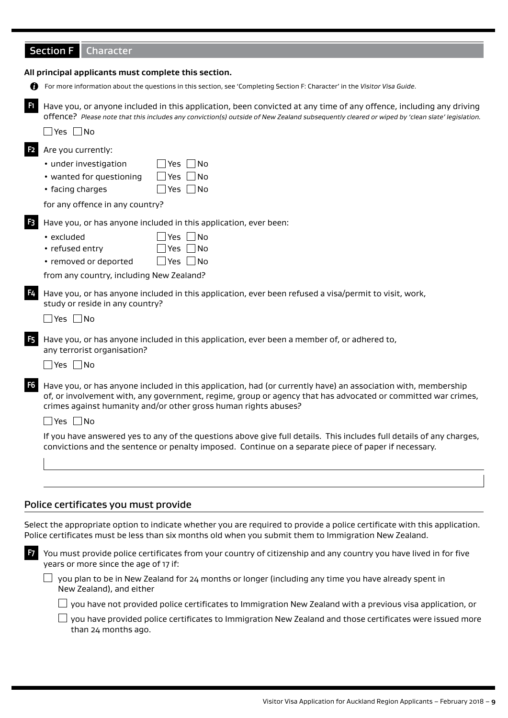|  | <b>Section F</b> Character |
|--|----------------------------|
|--|----------------------------|

|                | All principal applicants must complete this section.                                                                                                                                                                                                                                                                     |
|----------------|--------------------------------------------------------------------------------------------------------------------------------------------------------------------------------------------------------------------------------------------------------------------------------------------------------------------------|
| m              | For more information about the questions in this section, see 'Completing Section F: Character' in the Visitor Visa Guide.                                                                                                                                                                                               |
| F1.            | Have you, or anyone included in this application, been convicted at any time of any offence, including any driving<br>offence? Please note that this includes any conviction(s) outside of New Zealand subsequently cleared or wiped by 'clean slate' legislation.                                                       |
|                | $\vert$ Yes $\vert$ No                                                                                                                                                                                                                                                                                                   |
| F <sub>2</sub> | Are you currently:<br>• under investigation<br>Yes No<br>$\Box$ Yes $\Box$ No<br>• wanted for questioning<br>$\Box$ Yes $\Box$ No<br>• facing charges<br>for any offence in any country?                                                                                                                                 |
| F <sub>3</sub> | Have you, or has anyone included in this application, ever been:<br>• excluded<br>Yes $ $ $ $ No                                                                                                                                                                                                                         |
|                | • refused entry<br>Yes $\Box$ No<br>• removed or deported<br>Yes $\Box$ No<br>from any country, including New Zealand?                                                                                                                                                                                                   |
| F4             | Have you, or has anyone included in this application, ever been refused a visa/permit to visit, work,<br>study or reside in any country?<br>$\Box$ Yes $\Box$ No                                                                                                                                                         |
| F <sub>5</sub> | Have you, or has anyone included in this application, ever been a member of, or adhered to,<br>any terrorist organisation?<br>_ Yes ∐No                                                                                                                                                                                  |
| F <sub>6</sub> | Have you, or has anyone included in this application, had (or currently have) an association with, membership<br>of, or involvement with, any government, regime, group or agency that has advocated or committed war crimes,<br>crimes against humanity and/or other gross human rights abuses?<br>$\Box$ Yes $\Box$ No |
|                | If you have answered yes to any of the questions above give full details. This includes full details of any charges,<br>convictions and the sentence or penalty imposed. Continue on a separate piece of paper if necessary.                                                                                             |
|                |                                                                                                                                                                                                                                                                                                                          |
|                | Police certificates you must provide                                                                                                                                                                                                                                                                                     |
|                | Select the appropriate option to indicate whether you are required to provide a police certificate with this application.<br>Police certificates must be less than six months old when you submit them to Immigration New Zealand.                                                                                       |
| F7             | You must provide police certificates from your country of citizenship and any country you have lived in for five<br>years or more since the age of 17 if:                                                                                                                                                                |
|                | you plan to be in New Zealand for 24 months or longer (including any time you have already spent in<br>New Zealand), and either                                                                                                                                                                                          |
|                | you have not provided police certificates to Immigration New Zealand with a previous visa application, or                                                                                                                                                                                                                |

 $\Box$  you have provided police certificates to Immigration New Zealand and those certificates were issued more than 24 months ago.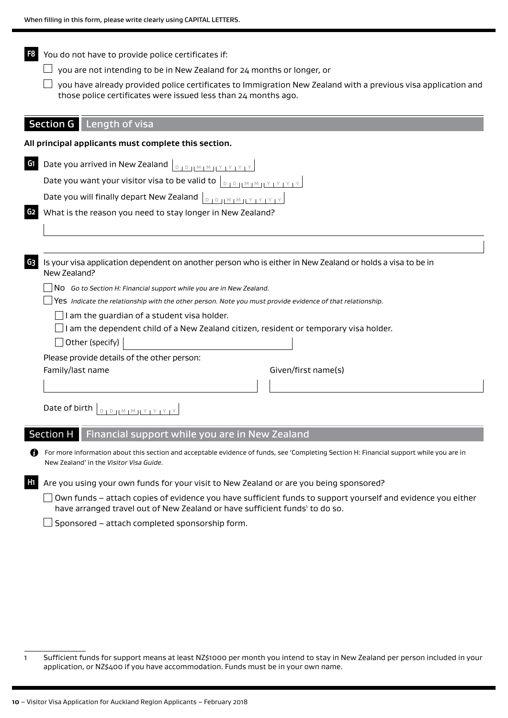**F8** You do not have to provide police certificates if:  $\Box$  you are not intending to be in New Zealand for 24 months or longer, or  $\Box$  you have already provided police certificates to Immigration New Zealand with a previous visa application and those police certificates were issued less than 24 months ago. Section G Length of visa **All principal applicants must complete this section. G1** Date you arrived in New Zealand  $\vert_{\text{D 1D 11 M 1M 12 M 13 M 2}}$ Date you want your visitor visa to be valid to  $|_{\text{DIDHM} \times \text{NTV} \times \text{N}}$ Date you will finally depart New Zealand  $|_{\mathbb{D}_1 \mathbb{D}_1 \mathbb{M} \setminus \mathbb{M}_1 \times \mathbb{M}_2 \times \mathbb{M}_3}$ **G2** What is the reason you need to stay longer in New Zealand? **G3** Is your visa application dependent on another person who is either in New Zealand or holds a visa to be in New Zealand? No *Go to Section H: Financial support while you are in New Zealand.* Yes *Indicate the relationship with the other person. Note you must provide evidence of that relationship.*  $\Box$ I am the quardian of a student visa holder.  $\Box$ I am the dependent child of a New Zealand citizen, resident or temporary visa holder.  $\Box$  Other (specify) Please provide details of the other person: Family/last name Given/first name(s) Date of birth  $\vert_{\mathbb{D} \, \vert \mathbb{D} \, \vert \, \vert \mathbb{M} \, \vert \, \mathbb{M} \, \vert \, \vert \, \forall \, \vert \, \forall \, \vert \, \forall \, \vert \, \forall}$ Section H Financial support while you are in New Zealand For more information about this section and acceptable evidence of funds, see 'Completing Section H: Financial support while you are in New Zealand' in the *Visitor Visa Guide.*

**H1** Are you using your own funds for your visit to New Zealand or are you being sponsored?

 $\Box$  Own funds – attach copies of evidence you have sufficient funds to support yourself and evidence you either have arranged travel out of New Zealand or have sufficient funds<sup>1</sup> to do so.

 $\Box$  Sponsored – attach completed sponsorship form.

<sup>1</sup> Sufficient funds for support means at least NZ\$1000 per month you intend to stay in New Zealand per person included in your application, or NZ\$400 if you have accommodation. Funds must be in your own name.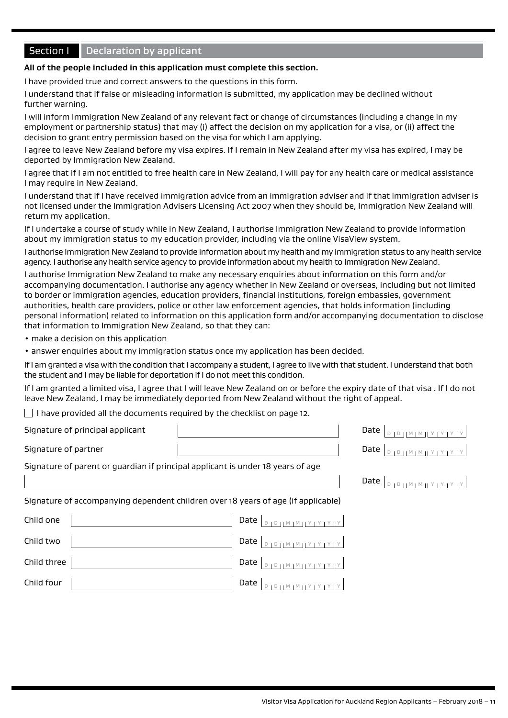### **Section I** Declaration by applicant

### **All of the people included in this application must complete this section.**

I have provided true and correct answers to the questions in this form.

I understand that if false or misleading information is submitted, my application may be declined without further warning.

I will inform Immigration New Zealand of any relevant fact or change of circumstances (including a change in my employment or partnership status) that may (i) affect the decision on my application for a visa, or (ii) affect the decision to grant entry permission based on the visa for which I am applying.

I agree to leave New Zealand before my visa expires. If I remain in New Zealand after my visa has expired, I may be deported by Immigration New Zealand.

I agree that if I am not entitled to free health care in New Zealand, I will pay for any health care or medical assistance I may require in New Zealand.

I understand that if I have received immigration advice from an immigration adviser and if that immigration adviser is not licensed under the Immigration Advisers Licensing Act 2007 when they should be, Immigration New Zealand will return my application.

If I undertake a course of study while in New Zealand, I authorise Immigration New Zealand to provide information about my immigration status to my education provider, including via the online VisaView system.

I authorise Immigration New Zealand to provide information about my health and my immigration status to any health service agency. I authorise any health service agency to provide information about my health to Immigration New Zealand.

I authorise Immigration New Zealand to make any necessary enquiries about information on this form and/or accompanying documentation. I authorise any agency whether in New Zealand or overseas, including but not limited to border or immigration agencies, education providers, financial institutions, foreign embassies, government authorities, health care providers, police or other law enforcement agencies, that holds information (including personal information) related to information on this application form and/or accompanying documentation to disclose that information to Immigration New Zealand, so that they can:

- make a decision on this application
- answer enquiries about my immigration status once my application has been decided.

If I am granted a visa with the condition that I accompany a student, I agree to live with that student. I understand that both the student and I may be liable for deportation if I do not meet this condition.

If I am granted a limited visa, I agree that I will leave New Zealand on or before the expiry date of that visa . If I do not leave New Zealand, I may be immediately deported from New Zealand without the right of appeal.

 $\Box$  I have provided all the documents required by the checklist on page 12.

| Signature of principal applicant                                                |                                                                                   | Date                               |
|---------------------------------------------------------------------------------|-----------------------------------------------------------------------------------|------------------------------------|
| Signature of partner                                                            |                                                                                   | Date<br>11 M   M   1 Y   Y   Y   Y |
| Signature of parent or guardian if principal applicant is under 18 years of age |                                                                                   |                                    |
|                                                                                 |                                                                                   | Date<br>$H^M H^M H^Y H^Y H^Y H^Y$  |
|                                                                                 | Signature of accompanying dependent children over 18 years of age (if applicable) |                                    |
| Child one                                                                       | Date $ $                                                                          |                                    |
| Child two                                                                       | <br> -<br>  צן צן צן צן וואן און פן פ<br>Date                                     |                                    |
| Child three                                                                     | Date                                                                              |                                    |
| Child four                                                                      | Date<br>$\begin{array}{c} H \cup A + A \cup A \cup A \cup A \cup A \end{array}$   |                                    |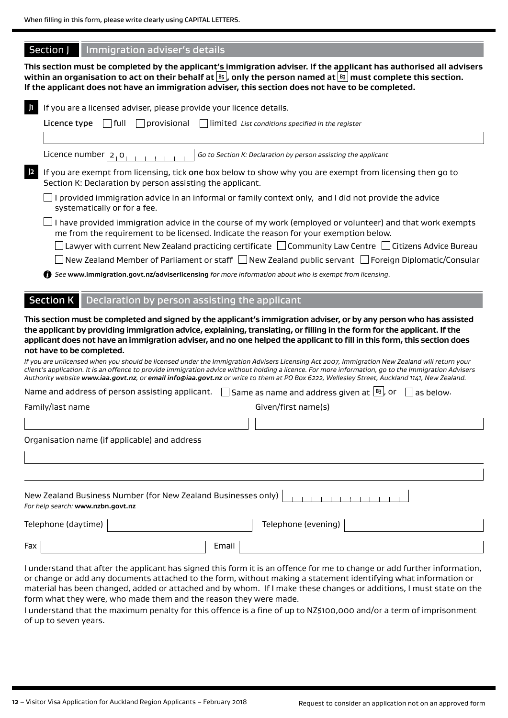### Section J Immigration adviser's details

**This section must be completed by the applicant's immigration adviser. If the applicant has authorised all advisers within an organisation to act on their behalf at B5 , only the person named at B3 must complete this section. If the applicant does not have an immigration adviser, this section does not have to be completed.**

|     | If you are a licensed adviser, please provide your licence details.<br>   full<br>$\vert$ $\vert$ provisional<br>limited List conditions specified in the register<br>Licence type                                                                                                                                                                                                                                                                                                                                                                                                                                                                                                                                                       |  |  |  |  |  |
|-----|------------------------------------------------------------------------------------------------------------------------------------------------------------------------------------------------------------------------------------------------------------------------------------------------------------------------------------------------------------------------------------------------------------------------------------------------------------------------------------------------------------------------------------------------------------------------------------------------------------------------------------------------------------------------------------------------------------------------------------------|--|--|--|--|--|
|     | Licence number $ 2, 0 $<br>Go to Section K: Declaration by person assisting the applicant                                                                                                                                                                                                                                                                                                                                                                                                                                                                                                                                                                                                                                                |  |  |  |  |  |
| 2   | If you are exempt from licensing, tick one box below to show why you are exempt from licensing then go to<br>Section K: Declaration by person assisting the applicant.                                                                                                                                                                                                                                                                                                                                                                                                                                                                                                                                                                   |  |  |  |  |  |
|     | provided immigration advice in an informal or family context only, and I did not provide the advice<br>systematically or for a fee.                                                                                                                                                                                                                                                                                                                                                                                                                                                                                                                                                                                                      |  |  |  |  |  |
|     | I have provided immigration advice in the course of my work (employed or volunteer) and that work exempts<br>me from the requirement to be licensed. Indicate the reason for your exemption below.                                                                                                                                                                                                                                                                                                                                                                                                                                                                                                                                       |  |  |  |  |  |
|     | Lawyer with current New Zealand practicing certificate $\Box$ Community Law Centre $\Box$ Citizens Advice Bureau                                                                                                                                                                                                                                                                                                                                                                                                                                                                                                                                                                                                                         |  |  |  |  |  |
|     | New Zealand Member of Parliament or staff   New Zealand public servant   Foreign Diplomatic/Consular                                                                                                                                                                                                                                                                                                                                                                                                                                                                                                                                                                                                                                     |  |  |  |  |  |
|     | ↑ See www.immigration.govt.nz/adviserlicensing for more information about who is exempt from licensing.                                                                                                                                                                                                                                                                                                                                                                                                                                                                                                                                                                                                                                  |  |  |  |  |  |
|     |                                                                                                                                                                                                                                                                                                                                                                                                                                                                                                                                                                                                                                                                                                                                          |  |  |  |  |  |
|     | <b>Section K</b><br>Declaration by person assisting the applicant                                                                                                                                                                                                                                                                                                                                                                                                                                                                                                                                                                                                                                                                        |  |  |  |  |  |
|     | the applicant by providing immigration advice, explaining, translating, or filling in the form for the applicant. If the<br>applicant does not have an immigration adviser, and no one helped the applicant to fill in this form, this section does<br>not have to be completed.<br>If you are unlicensed when you should be licensed under the Immigration Advisers Licensing Act 2007, Immigration New Zealand will return your<br>client's application. It is an offence to provide immigration advice without holding a licence. For more information, go to the Immigration Advisers<br>Authority website www.iaa.govt.nz, or email info@iaa.govt.nz or write to them at PO Box 6222, Wellesley Street, Auckland 1141, New Zealand. |  |  |  |  |  |
|     | Same as name and address given at $\left[\frac{B3}{2}\right]$ , or<br>Name and address of person assisting applicant.<br>as below.                                                                                                                                                                                                                                                                                                                                                                                                                                                                                                                                                                                                       |  |  |  |  |  |
|     | Given/first name(s)<br>Family/last name                                                                                                                                                                                                                                                                                                                                                                                                                                                                                                                                                                                                                                                                                                  |  |  |  |  |  |
|     |                                                                                                                                                                                                                                                                                                                                                                                                                                                                                                                                                                                                                                                                                                                                          |  |  |  |  |  |
|     | Organisation name (if applicable) and address                                                                                                                                                                                                                                                                                                                                                                                                                                                                                                                                                                                                                                                                                            |  |  |  |  |  |
|     |                                                                                                                                                                                                                                                                                                                                                                                                                                                                                                                                                                                                                                                                                                                                          |  |  |  |  |  |
|     | New Zealand Business Number (for New Zealand Businesses only)<br>For help search: www.nzbn.govt.nz                                                                                                                                                                                                                                                                                                                                                                                                                                                                                                                                                                                                                                       |  |  |  |  |  |
|     | Telephone (daytime)<br>Telephone (evening)                                                                                                                                                                                                                                                                                                                                                                                                                                                                                                                                                                                                                                                                                               |  |  |  |  |  |
| Fax | Email                                                                                                                                                                                                                                                                                                                                                                                                                                                                                                                                                                                                                                                                                                                                    |  |  |  |  |  |
|     | I understand that after the applicant has signed this form it is an offence for me to change or add further information,<br>or change or add any documents attached to the form, without making a statement identifying what information or                                                                                                                                                                                                                                                                                                                                                                                                                                                                                              |  |  |  |  |  |

material has been changed, added or attached and by whom. If I make these changes or additions, I must state on the form what they were, who made them and the reason they were made.

I understand that the maximum penalty for this offence is a fine of up to NZ\$100,000 and/or a term of imprisonment of up to seven years.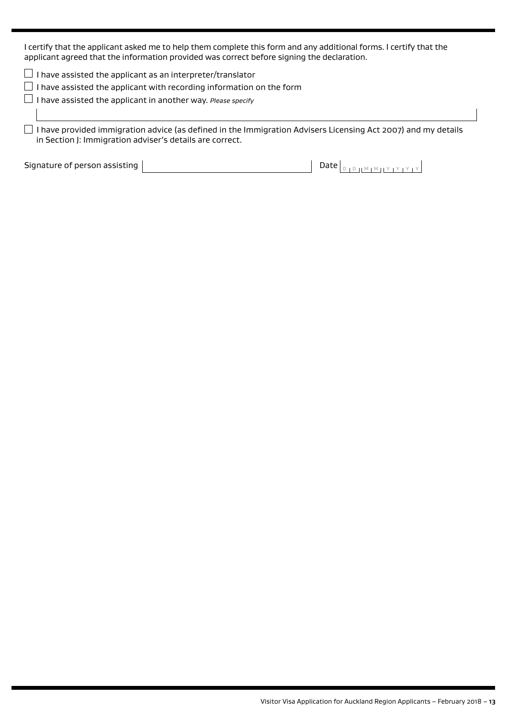I certify that the applicant asked me to help them complete this form and any additional forms. I certify that the applicant agreed that the information provided was correct before signing the declaration.

 $\Box$  I have assisted the applicant as an interpreter/translator

 $\Box$  I have assisted the applicant with recording information on the form

I have assisted the applicant in another way. *Please specify* 

 I have provided immigration advice (as defined in the Immigration Advisers Licensing Act 2007) and my details in Section J: Immigration adviser's details are correct.

Signature of person assisting  $\boxed{\phantom{a} \phantom{a} \phantom{a}}$  Date  $\boxed{\phantom{a} \phantom{a} }$  Date  $\boxed{\phantom{a} \phantom{a} }$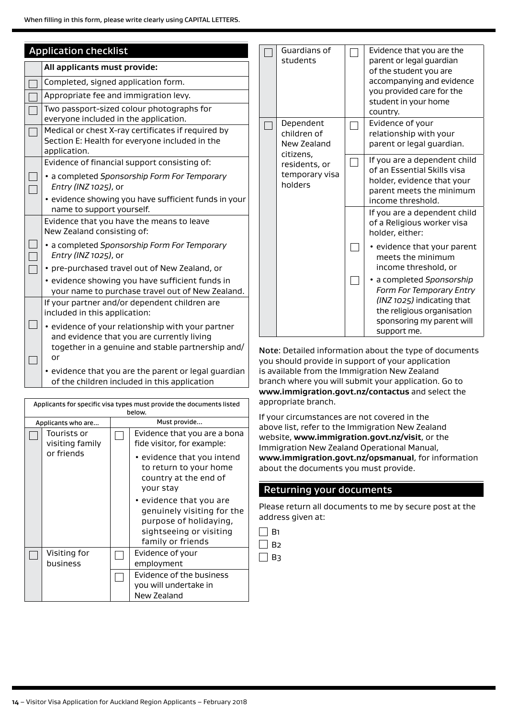| <b>Application checklist</b> |  |                                                                                                                      |                           |  |  |  |  |
|------------------------------|--|----------------------------------------------------------------------------------------------------------------------|---------------------------|--|--|--|--|
|                              |  | All applicants must provide:                                                                                         |                           |  |  |  |  |
|                              |  | Completed, signed application form.                                                                                  |                           |  |  |  |  |
|                              |  | Appropriate fee and immigration levy.                                                                                |                           |  |  |  |  |
|                              |  | Two passport-sized colour photographs for<br>everyone included in the application.                                   |                           |  |  |  |  |
|                              |  | Medical or chest X-ray certificates if required by<br>Section E: Health for everyone included in the<br>application. |                           |  |  |  |  |
|                              |  | Evidence of financial support consisting of:                                                                         |                           |  |  |  |  |
|                              |  | · a completed Sponsorship Form For Temporary<br>Entry (INZ 1025), or                                                 |                           |  |  |  |  |
|                              |  | · evidence showing you have sufficient funds in your<br>name to support yourself.                                    |                           |  |  |  |  |
|                              |  | Evidence that you have the means to leave<br>New Zealand consisting of:                                              |                           |  |  |  |  |
|                              |  | • a completed Sponsorship Form For Temporary<br>Entry (INZ 1025), or                                                 |                           |  |  |  |  |
|                              |  | • pre-purchased travel out of New Zealand, or                                                                        |                           |  |  |  |  |
|                              |  | · evidence showing you have sufficient funds in<br>your name to purchase travel out of New Zealand.                  |                           |  |  |  |  |
|                              |  | If your partner and/or dependent children are<br>included in this application:                                       |                           |  |  |  |  |
|                              |  | . evidence of your relationship with your partner<br>and evidence that you are currently living                      |                           |  |  |  |  |
|                              |  | together in a genuine and stable partnership and/<br>or                                                              |                           |  |  |  |  |
|                              |  | • evidence that you are the parent or legal guardian<br>of the children included in this application                 | y <sub>'</sub><br>is<br>b |  |  |  |  |

| Applicants for specific visa types must provide the documents listed |  |                                                                                                                                                                                                                               |  |
|----------------------------------------------------------------------|--|-------------------------------------------------------------------------------------------------------------------------------------------------------------------------------------------------------------------------------|--|
|                                                                      |  | below.                                                                                                                                                                                                                        |  |
| Applicants who are                                                   |  | Must provide                                                                                                                                                                                                                  |  |
| Tourists or<br>visiting family                                       |  | Evidence that you are a bona<br>fide visitor, for example:                                                                                                                                                                    |  |
| or friends                                                           |  | • evidence that you intend<br>to return to your home<br>country at the end of<br>your stay<br>• evidence that you are<br>genuinely visiting for the<br>purpose of holidaying,<br>sightseeing or visiting<br>family or friends |  |
| Visiting for<br>business                                             |  | Evidence of your<br>employment                                                                                                                                                                                                |  |
|                                                                      |  | Evidence of the business<br>you will undertake in<br>New Zealand                                                                                                                                                              |  |

|  | Guardians of<br>students                                                                           | Evidence that you are the<br>parent or legal guardian<br>of the student you are<br>accompanying and evidence<br>you provided care for the<br>student in your home<br>country. |
|--|----------------------------------------------------------------------------------------------------|-------------------------------------------------------------------------------------------------------------------------------------------------------------------------------|
|  | Dependent<br>children of<br>New Zealand<br>citizens,<br>residents, or<br>temporary visa<br>holders | Evidence of your<br>relationship with your<br>parent or legal guardian.                                                                                                       |
|  |                                                                                                    | If you are a dependent child<br>of an Essential Skills visa<br>holder, evidence that your<br>parent meets the minimum<br>income threshold.                                    |
|  |                                                                                                    | If you are a dependent child<br>of a Religious worker visa<br>holder, either:                                                                                                 |
|  |                                                                                                    | • evidence that your parent<br>meets the minimum<br>income threshold, or                                                                                                      |
|  |                                                                                                    | a completed Sponsorship<br>Form For Temporary Entry<br>(INZ 1025) indicating that<br>the religious organisation<br>sponsoring my parent will<br>support me.                   |

lote: Detailed information about the type of documents ou should provide in support of your application s available from the Immigration New Zealand branch where you will submit your application. Go to **www.immigration.govt.nz/contactus** and select the appropriate branch.

If your circumstances are not covered in the above list, refer to the Immigration New Zealand website, **www.immigration.govt.nz/visit**, or the Immigration New Zealand Operational Manual, **www.immigration.govt.nz/opsmanual**, for information about the documents you must provide.

### Returning your documents

Please return all documents to me by secure post at the address given at:

 $\Box$  B<sub>2</sub>  $\Box$  B3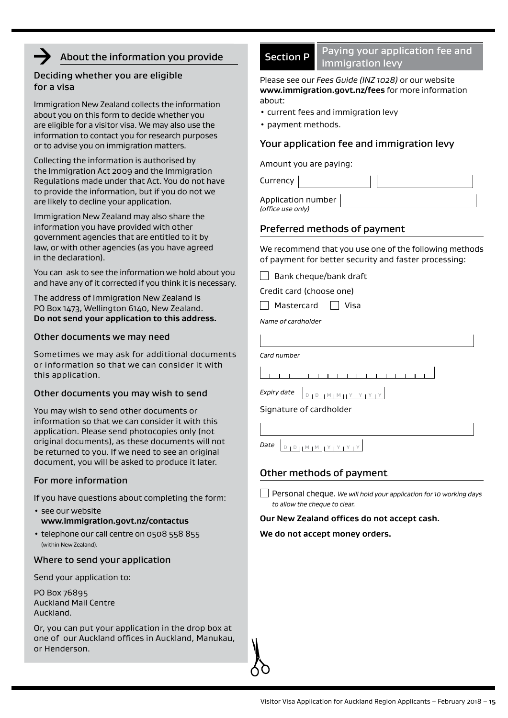### About the information you provide

### Deciding whether you are eligible for a visa

Immigration New Zealand collects the information about you on this form to decide whether you are eligible for a visitor visa. We may also use the information to contact you for research purposes or to advise you on immigration matters.

Collecting the information is authorised by the Immigration Act 2009 and the Immigration Regulations made under that Act. You do not have to provide the information, but if you do not we are likely to decline your application.

Immigration New Zealand may also share the information you have provided with other government agencies that are entitled to it by law, or with other agencies (as you have agreed in the declaration).

You can ask to see the information we hold about you and have any of it corrected if you think it is necessary.

The address of Immigration New Zealand is PO Box 1473, Wellington 6140, New Zealand. **Do not send your application to this address.**

### Other documents we may need

Sometimes we may ask for additional documents or information so that we can consider it with this application.

### Other documents you may wish to send

You may wish to send other documents or information so that we can consider it with this application. Please send photocopies only (not original documents), as these documents will not be returned to you. If we need to see an original document, you will be asked to produce it later.

### For more information

If you have questions about completing the form:

- see our website **www.immigration.govt.nz/contactus**
- telephone our call centre on 0508 558 855 (within New Zealand).

### Where to send your application

Send your application to:

PO Box 76895 Auckland Mail Centre Auckland.

Or, you can put your application in the drop box at one of our Auckland offices in Auckland, Manukau, or Henderson.

### Section P Paying your application fee and immigration levy

Please see our *Fees Guide (INZ 1028)* or our website **www.immigration.govt.nz/fees** for more information about:

- current fees and immigration levy
- payment methods.

### Your application fee and immigration levy

Amount you are paying:

Currency

Application number *(office use only)*

### Preferred methods of payment

We recommend that you use one of the following methods of payment for better security and faster processing:

 $\Box$  Bank cheque/bank draft

Credit card (choose one)

 $\Box$  Mastercard  $\Box$  Visa

*Name of cardholder*

*Card number*  $1$   $1$   $1$   $1$   $1$ 111111111111 *Expiry date*  $\Big|_{\Box \Box \Box \Box \Box \blacksquare \blacksquare \blacksquare \blacksquare \blacksquare \blacksquare \bot \vee \bot \vee \bot \vee \bot \vee \blacksquare \blacksquare}$ Signature of cardholder

### Other methods of payment*.*

**Date** D D H M M H Y J Y L Y L Y

Personal cheque. *We will hold your application for 10 working days to allow the cheque to clear.*

#### **Our New Zealand offices do not accept cash.**

**We do not accept money orders.**